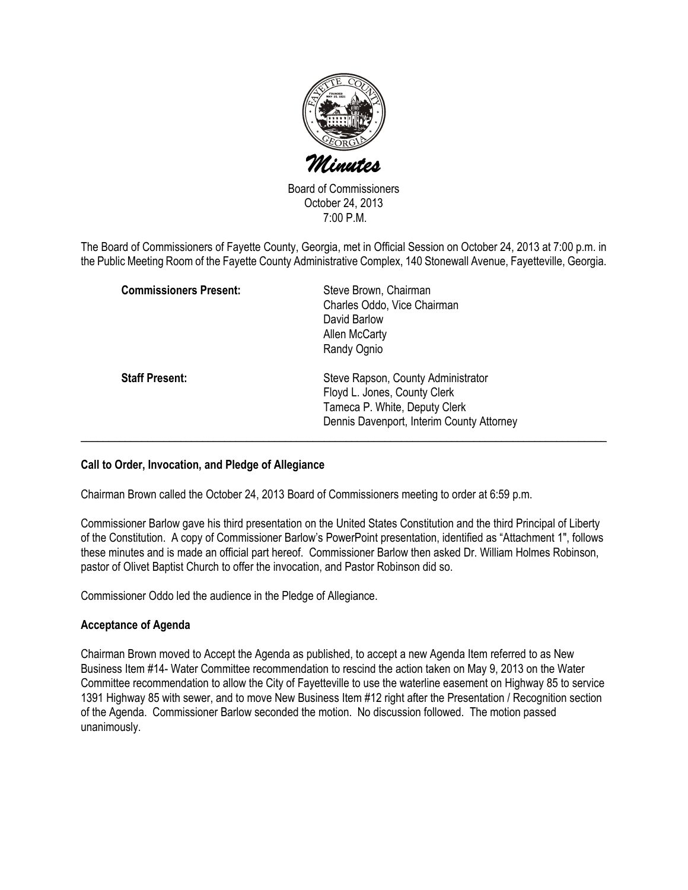

Board of Commissioners October 24, 2013 7:00 P.M.

The Board of Commissioners of Fayette County, Georgia, met in Official Session on October 24, 2013 at 7:00 p.m. in the Public Meeting Room of the Fayette County Administrative Complex, 140 Stonewall Avenue, Fayetteville, Georgia.

| <b>Commissioners Present:</b> | Steve Brown, Chairman<br>Charles Oddo, Vice Chairman<br>David Barlow<br>Allen McCarty<br>Randy Ognio                                             |
|-------------------------------|--------------------------------------------------------------------------------------------------------------------------------------------------|
| <b>Staff Present:</b>         | Steve Rapson, County Administrator<br>Floyd L. Jones, County Clerk<br>Tameca P. White, Deputy Clerk<br>Dennis Davenport, Interim County Attorney |

## Call to Order, Invocation, and Pledge of Allegiance

Chairman Brown called the October 24, 2013 Board of Commissioners meeting to order at 6:59 p.m.

Commissioner Barlow gave his third presentation on the United States Constitution and the third Principal of Liberty of the Constitution. A copy of Commissioner Barlow's PowerPoint presentation, identified as "Attachment 1", follows these minutes and is made an official part hereof. Commissioner Barlow then asked Dr. William Holmes Robinson, pastor of Olivet Baptist Church to offer the invocation, and Pastor Robinson did so.

Commissioner Oddo led the audience in the Pledge of Allegiance.

## Acceptance of Agenda

Chairman Brown moved to Accept the Agenda as published, to accept a new Agenda Item referred to as New Business Item #14- Water Committee recommendation to rescind the action taken on May 9, 2013 on the Water Committee recommendation to allow the City of Fayetteville to use the waterline easement on Highway 85 to service 1391 Highway 85 with sewer, and to move New Business Item #12 right after the Presentation / Recognition section of the Agenda. Commissioner Barlow seconded the motion. No discussion followed. The motion passed unanimously.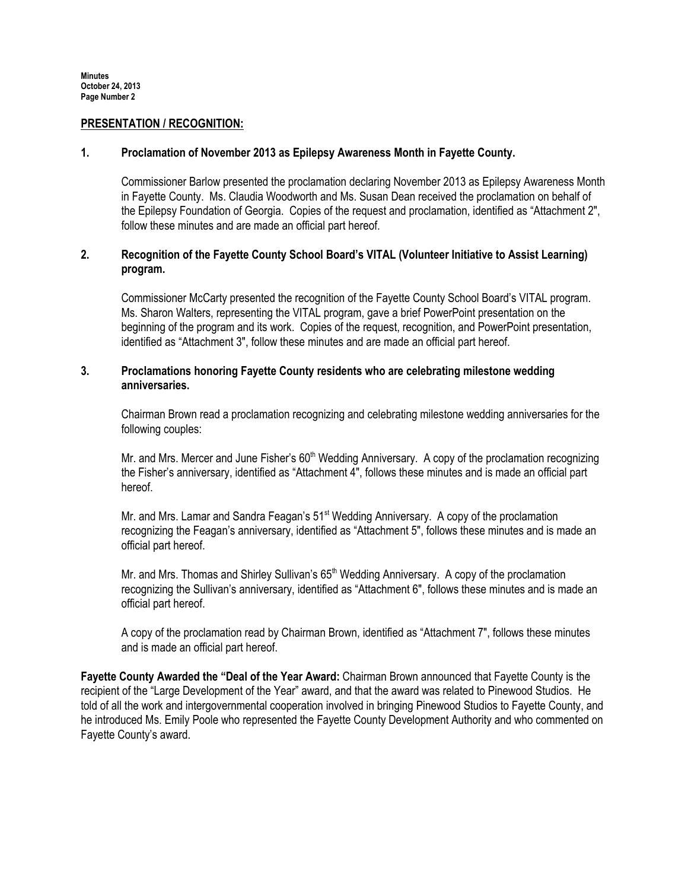#### PRESENTATION / RECOGNITION:

### 1. Proclamation of November 2013 as Epilepsy Awareness Month in Fayette County.

Commissioner Barlow presented the proclamation declaring November 2013 as Epilepsy Awareness Month in Fayette County. Ms. Claudia Woodworth and Ms. Susan Dean received the proclamation on behalf of the Epilepsy Foundation of Georgia. Copies of the request and proclamation, identified as "Attachment 2", follow these minutes and are made an official part hereof.

# 2. Recognition of the Fayette County School Board's VITAL (Volunteer Initiative to Assist Learning) program.

Commissioner McCarty presented the recognition of the Fayette County School Board's VITAL program. Ms. Sharon Walters, representing the VITAL program, gave a brief PowerPoint presentation on the beginning of the program and its work. Copies of the request, recognition, and PowerPoint presentation, identified as "Attachment 3", follow these minutes and are made an official part hereof.

# 3. Proclamations honoring Fayette County residents who are celebrating milestone wedding anniversaries.

Chairman Brown read a proclamation recognizing and celebrating milestone wedding anniversaries for the following couples:

Mr. and Mrs. Mercer and June Fisher's 60<sup>th</sup> Wedding Anniversary. A copy of the proclamation recognizing the Fisher's anniversary, identified as "Attachment 4", follows these minutes and is made an official part hereof.

Mr. and Mrs. Lamar and Sandra Feagan's 51<sup>st</sup> Wedding Anniversary. A copy of the proclamation recognizing the Feagan's anniversary, identified as "Attachment 5", follows these minutes and is made an official part hereof.

Mr. and Mrs. Thomas and Shirley Sullivan's 65<sup>th</sup> Wedding Anniversary. A copy of the proclamation recognizing the Sullivan's anniversary, identified as "Attachment 6", follows these minutes and is made an official part hereof.

A copy of the proclamation read by Chairman Brown, identified as "Attachment 7", follows these minutes and is made an official part hereof.

Fayette County Awarded the "Deal of the Year Award: Chairman Brown announced that Fayette County is the recipient of the "Large Development of the Year" award, and that the award was related to Pinewood Studios. He told of all the work and intergovernmental cooperation involved in bringing Pinewood Studios to Fayette County, and he introduced Ms. Emily Poole who represented the Fayette County Development Authority and who commented on Fayette County's award.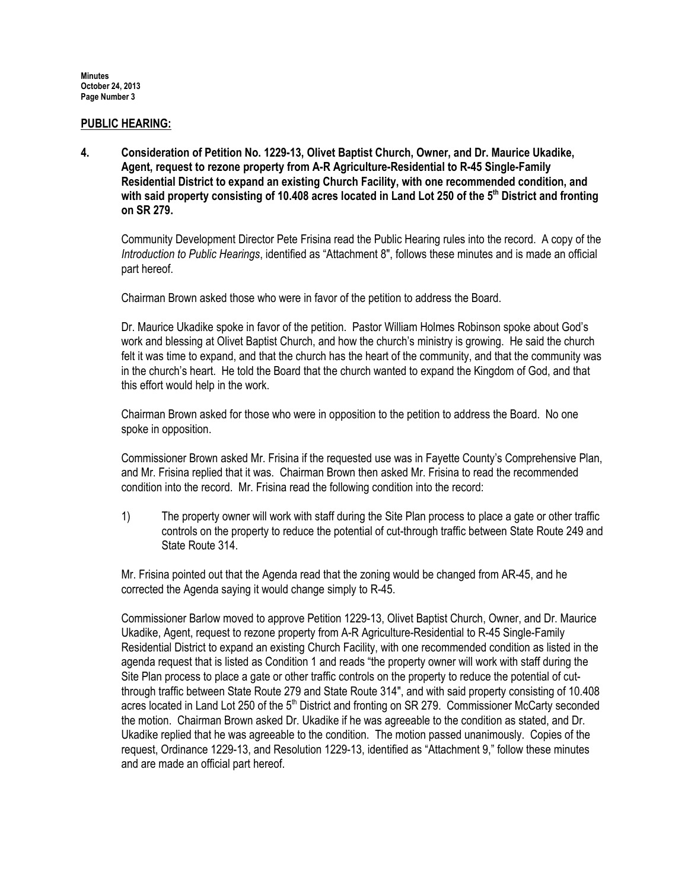#### PUBLIC HEARING:

4. Consideration of Petition No. 1229-13, Olivet Baptist Church, Owner, and Dr. Maurice Ukadike, Agent, request to rezone property from A-R Agriculture-Residential to R-45 Single-Family Residential District to expand an existing Church Facility, with one recommended condition, and with said property consisting of 10.408 acres located in Land Lot 250 of the  $5<sup>th</sup>$  District and fronting on SR 279.

Community Development Director Pete Frisina read the Public Hearing rules into the record. A copy of the Introduction to Public Hearings, identified as "Attachment 8", follows these minutes and is made an official part hereof.

Chairman Brown asked those who were in favor of the petition to address the Board.

Dr. Maurice Ukadike spoke in favor of the petition. Pastor William Holmes Robinson spoke about God's work and blessing at Olivet Baptist Church, and how the church's ministry is growing. He said the church felt it was time to expand, and that the church has the heart of the community, and that the community was in the church's heart. He told the Board that the church wanted to expand the Kingdom of God, and that this effort would help in the work.

Chairman Brown asked for those who were in opposition to the petition to address the Board. No one spoke in opposition.

Commissioner Brown asked Mr. Frisina if the requested use was in Fayette County's Comprehensive Plan, and Mr. Frisina replied that it was. Chairman Brown then asked Mr. Frisina to read the recommended condition into the record. Mr. Frisina read the following condition into the record:

1) The property owner will work with staff during the Site Plan process to place a gate or other traffic controls on the property to reduce the potential of cut-through traffic between State Route 249 and State Route 314.

Mr. Frisina pointed out that the Agenda read that the zoning would be changed from AR-45, and he corrected the Agenda saying it would change simply to R-45.

Commissioner Barlow moved to approve Petition 1229-13, Olivet Baptist Church, Owner, and Dr. Maurice Ukadike, Agent, request to rezone property from A-R Agriculture-Residential to R-45 Single-Family Residential District to expand an existing Church Facility, with one recommended condition as listed in the agenda request that is listed as Condition 1 and reads "the property owner will work with staff during the Site Plan process to place a gate or other traffic controls on the property to reduce the potential of cutthrough traffic between State Route 279 and State Route 314", and with said property consisting of 10.408 acres located in Land Lot 250 of the 5<sup>th</sup> District and fronting on SR 279. Commissioner McCarty seconded the motion. Chairman Brown asked Dr. Ukadike if he was agreeable to the condition as stated, and Dr. Ukadike replied that he was agreeable to the condition. The motion passed unanimously. Copies of the request, Ordinance 1229-13, and Resolution 1229-13, identified as "Attachment 9," follow these minutes and are made an official part hereof.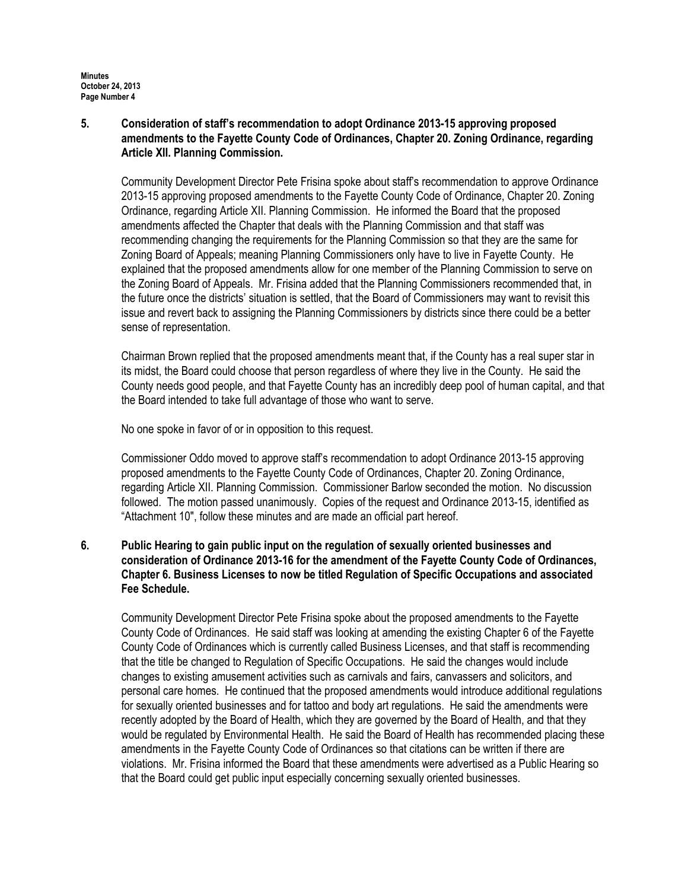5. Consideration of staff's recommendation to adopt Ordinance 2013-15 approving proposed amendments to the Fayette County Code of Ordinances, Chapter 20. Zoning Ordinance, regarding Article XII. Planning Commission.

Community Development Director Pete Frisina spoke about staff's recommendation to approve Ordinance 2013-15 approving proposed amendments to the Fayette County Code of Ordinance, Chapter 20. Zoning Ordinance, regarding Article XII. Planning Commission. He informed the Board that the proposed amendments affected the Chapter that deals with the Planning Commission and that staff was recommending changing the requirements for the Planning Commission so that they are the same for Zoning Board of Appeals; meaning Planning Commissioners only have to live in Fayette County. He explained that the proposed amendments allow for one member of the Planning Commission to serve on the Zoning Board of Appeals. Mr. Frisina added that the Planning Commissioners recommended that, in the future once the districts' situation is settled, that the Board of Commissioners may want to revisit this issue and revert back to assigning the Planning Commissioners by districts since there could be a better sense of representation.

Chairman Brown replied that the proposed amendments meant that, if the County has a real super star in its midst, the Board could choose that person regardless of where they live in the County. He said the County needs good people, and that Fayette County has an incredibly deep pool of human capital, and that the Board intended to take full advantage of those who want to serve.

No one spoke in favor of or in opposition to this request.

Commissioner Oddo moved to approve staff's recommendation to adopt Ordinance 2013-15 approving proposed amendments to the Fayette County Code of Ordinances, Chapter 20. Zoning Ordinance, regarding Article XII. Planning Commission. Commissioner Barlow seconded the motion. No discussion followed. The motion passed unanimously. Copies of the request and Ordinance 2013-15, identified as "Attachment 10", follow these minutes and are made an official part hereof.

# 6. Public Hearing to gain public input on the regulation of sexually oriented businesses and consideration of Ordinance 2013-16 for the amendment of the Fayette County Code of Ordinances, Chapter 6. Business Licenses to now be titled Regulation of Specific Occupations and associated Fee Schedule.

Community Development Director Pete Frisina spoke about the proposed amendments to the Fayette County Code of Ordinances. He said staff was looking at amending the existing Chapter 6 of the Fayette County Code of Ordinances which is currently called Business Licenses, and that staff is recommending that the title be changed to Regulation of Specific Occupations. He said the changes would include changes to existing amusement activities such as carnivals and fairs, canvassers and solicitors, and personal care homes. He continued that the proposed amendments would introduce additional regulations for sexually oriented businesses and for tattoo and body art regulations. He said the amendments were recently adopted by the Board of Health, which they are governed by the Board of Health, and that they would be regulated by Environmental Health. He said the Board of Health has recommended placing these amendments in the Fayette County Code of Ordinances so that citations can be written if there are violations. Mr. Frisina informed the Board that these amendments were advertised as a Public Hearing so that the Board could get public input especially concerning sexually oriented businesses.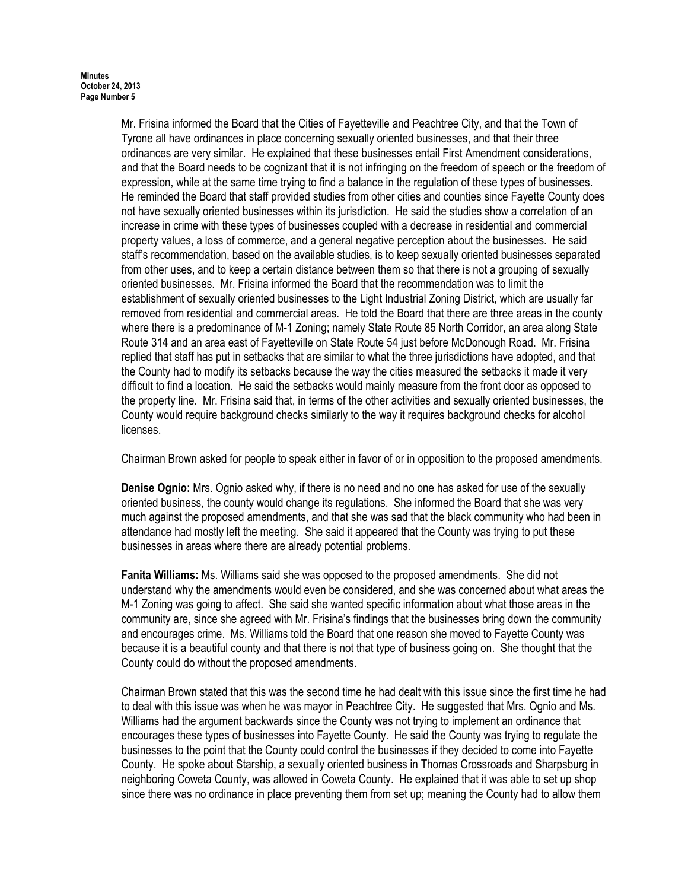Mr. Frisina informed the Board that the Cities of Fayetteville and Peachtree City, and that the Town of Tyrone all have ordinances in place concerning sexually oriented businesses, and that their three ordinances are very similar. He explained that these businesses entail First Amendment considerations, and that the Board needs to be cognizant that it is not infringing on the freedom of speech or the freedom of expression, while at the same time trying to find a balance in the regulation of these types of businesses. He reminded the Board that staff provided studies from other cities and counties since Fayette County does not have sexually oriented businesses within its jurisdiction. He said the studies show a correlation of an increase in crime with these types of businesses coupled with a decrease in residential and commercial property values, a loss of commerce, and a general negative perception about the businesses. He said staff's recommendation, based on the available studies, is to keep sexually oriented businesses separated from other uses, and to keep a certain distance between them so that there is not a grouping of sexually oriented businesses. Mr. Frisina informed the Board that the recommendation was to limit the establishment of sexually oriented businesses to the Light Industrial Zoning District, which are usually far removed from residential and commercial areas. He told the Board that there are three areas in the county where there is a predominance of M-1 Zoning; namely State Route 85 North Corridor, an area along State Route 314 and an area east of Fayetteville on State Route 54 just before McDonough Road. Mr. Frisina replied that staff has put in setbacks that are similar to what the three jurisdictions have adopted, and that the County had to modify its setbacks because the way the cities measured the setbacks it made it very difficult to find a location. He said the setbacks would mainly measure from the front door as opposed to the property line. Mr. Frisina said that, in terms of the other activities and sexually oriented businesses, the County would require background checks similarly to the way it requires background checks for alcohol licenses.

Chairman Brown asked for people to speak either in favor of or in opposition to the proposed amendments.

Denise Ognio: Mrs. Ognio asked why, if there is no need and no one has asked for use of the sexually oriented business, the county would change its regulations. She informed the Board that she was very much against the proposed amendments, and that she was sad that the black community who had been in attendance had mostly left the meeting. She said it appeared that the County was trying to put these businesses in areas where there are already potential problems.

Fanita Williams: Ms. Williams said she was opposed to the proposed amendments. She did not understand why the amendments would even be considered, and she was concerned about what areas the M-1 Zoning was going to affect. She said she wanted specific information about what those areas in the community are, since she agreed with Mr. Frisina's findings that the businesses bring down the community and encourages crime. Ms. Williams told the Board that one reason she moved to Fayette County was because it is a beautiful county and that there is not that type of business going on. She thought that the County could do without the proposed amendments.

Chairman Brown stated that this was the second time he had dealt with this issue since the first time he had to deal with this issue was when he was mayor in Peachtree City. He suggested that Mrs. Ognio and Ms. Williams had the argument backwards since the County was not trying to implement an ordinance that encourages these types of businesses into Fayette County. He said the County was trying to regulate the businesses to the point that the County could control the businesses if they decided to come into Fayette County. He spoke about Starship, a sexually oriented business in Thomas Crossroads and Sharpsburg in neighboring Coweta County, was allowed in Coweta County. He explained that it was able to set up shop since there was no ordinance in place preventing them from set up; meaning the County had to allow them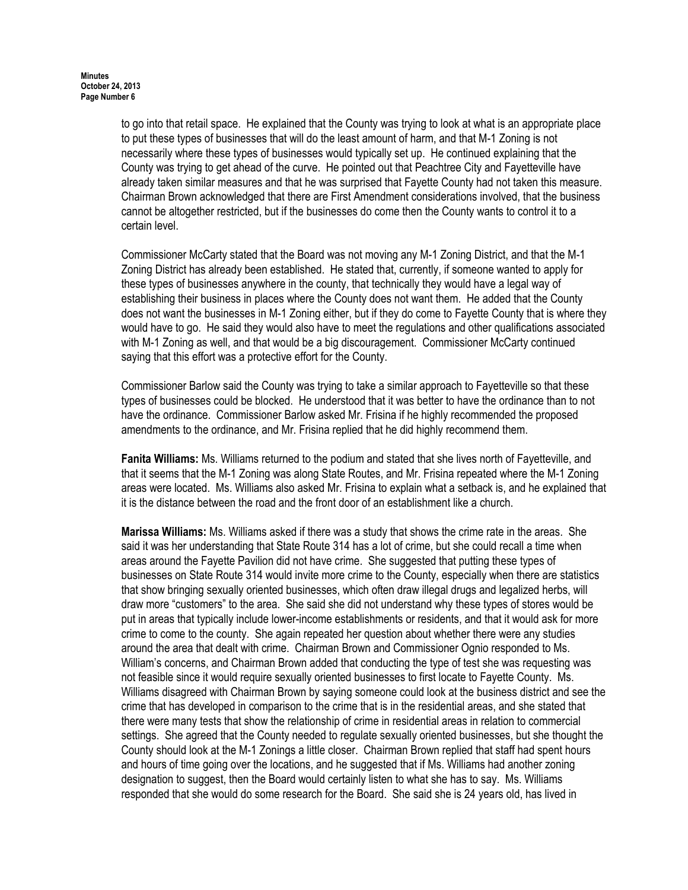to go into that retail space. He explained that the County was trying to look at what is an appropriate place to put these types of businesses that will do the least amount of harm, and that M-1 Zoning is not necessarily where these types of businesses would typically set up. He continued explaining that the County was trying to get ahead of the curve. He pointed out that Peachtree City and Fayetteville have already taken similar measures and that he was surprised that Fayette County had not taken this measure. Chairman Brown acknowledged that there are First Amendment considerations involved, that the business cannot be altogether restricted, but if the businesses do come then the County wants to control it to a certain level.

Commissioner McCarty stated that the Board was not moving any M-1 Zoning District, and that the M-1 Zoning District has already been established. He stated that, currently, if someone wanted to apply for these types of businesses anywhere in the county, that technically they would have a legal way of establishing their business in places where the County does not want them. He added that the County does not want the businesses in M-1 Zoning either, but if they do come to Fayette County that is where they would have to go. He said they would also have to meet the regulations and other qualifications associated with M-1 Zoning as well, and that would be a big discouragement. Commissioner McCarty continued saying that this effort was a protective effort for the County.

Commissioner Barlow said the County was trying to take a similar approach to Fayetteville so that these types of businesses could be blocked. He understood that it was better to have the ordinance than to not have the ordinance. Commissioner Barlow asked Mr. Frisina if he highly recommended the proposed amendments to the ordinance, and Mr. Frisina replied that he did highly recommend them.

Fanita Williams: Ms. Williams returned to the podium and stated that she lives north of Fayetteville, and that it seems that the M-1 Zoning was along State Routes, and Mr. Frisina repeated where the M-1 Zoning areas were located. Ms. Williams also asked Mr. Frisina to explain what a setback is, and he explained that it is the distance between the road and the front door of an establishment like a church.

Marissa Williams: Ms. Williams asked if there was a study that shows the crime rate in the areas. She said it was her understanding that State Route 314 has a lot of crime, but she could recall a time when areas around the Fayette Pavilion did not have crime. She suggested that putting these types of businesses on State Route 314 would invite more crime to the County, especially when there are statistics that show bringing sexually oriented businesses, which often draw illegal drugs and legalized herbs, will draw more "customers" to the area. She said she did not understand why these types of stores would be put in areas that typically include lower-income establishments or residents, and that it would ask for more crime to come to the county. She again repeated her question about whether there were any studies around the area that dealt with crime. Chairman Brown and Commissioner Ognio responded to Ms. William's concerns, and Chairman Brown added that conducting the type of test she was requesting was not feasible since it would require sexually oriented businesses to first locate to Fayette County. Ms. Williams disagreed with Chairman Brown by saying someone could look at the business district and see the crime that has developed in comparison to the crime that is in the residential areas, and she stated that there were many tests that show the relationship of crime in residential areas in relation to commercial settings. She agreed that the County needed to regulate sexually oriented businesses, but she thought the County should look at the M-1 Zonings a little closer. Chairman Brown replied that staff had spent hours and hours of time going over the locations, and he suggested that if Ms. Williams had another zoning designation to suggest, then the Board would certainly listen to what she has to say. Ms. Williams responded that she would do some research for the Board. She said she is 24 years old, has lived in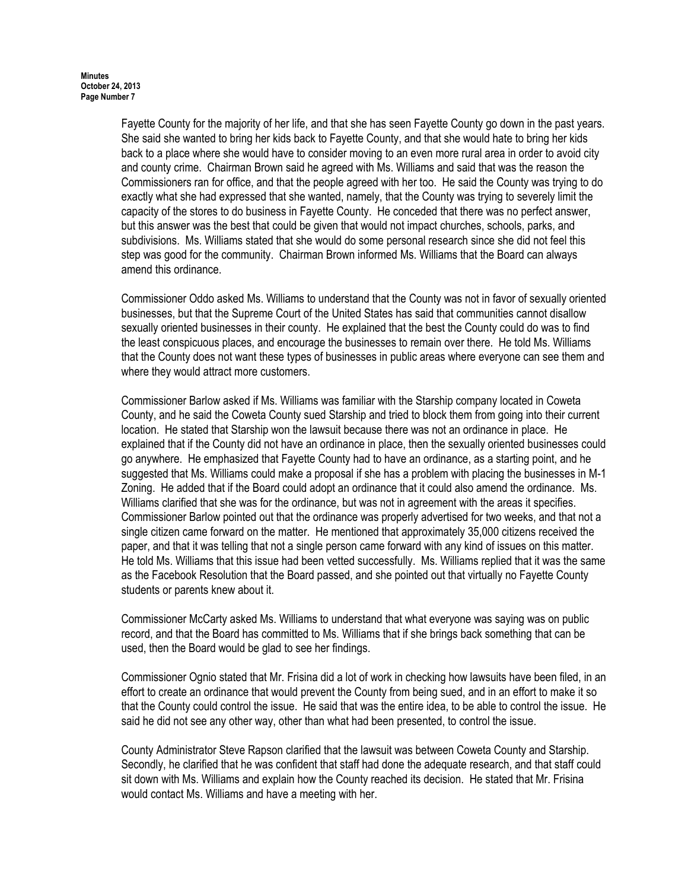Fayette County for the majority of her life, and that she has seen Fayette County go down in the past years. She said she wanted to bring her kids back to Fayette County, and that she would hate to bring her kids back to a place where she would have to consider moving to an even more rural area in order to avoid city and county crime. Chairman Brown said he agreed with Ms. Williams and said that was the reason the Commissioners ran for office, and that the people agreed with her too. He said the County was trying to do exactly what she had expressed that she wanted, namely, that the County was trying to severely limit the capacity of the stores to do business in Fayette County. He conceded that there was no perfect answer, but this answer was the best that could be given that would not impact churches, schools, parks, and subdivisions. Ms. Williams stated that she would do some personal research since she did not feel this step was good for the community. Chairman Brown informed Ms. Williams that the Board can always amend this ordinance.

Commissioner Oddo asked Ms. Williams to understand that the County was not in favor of sexually oriented businesses, but that the Supreme Court of the United States has said that communities cannot disallow sexually oriented businesses in their county. He explained that the best the County could do was to find the least conspicuous places, and encourage the businesses to remain over there. He told Ms. Williams that the County does not want these types of businesses in public areas where everyone can see them and where they would attract more customers.

Commissioner Barlow asked if Ms. Williams was familiar with the Starship company located in Coweta County, and he said the Coweta County sued Starship and tried to block them from going into their current location. He stated that Starship won the lawsuit because there was not an ordinance in place. He explained that if the County did not have an ordinance in place, then the sexually oriented businesses could go anywhere. He emphasized that Fayette County had to have an ordinance, as a starting point, and he suggested that Ms. Williams could make a proposal if she has a problem with placing the businesses in M-1 Zoning. He added that if the Board could adopt an ordinance that it could also amend the ordinance. Ms. Williams clarified that she was for the ordinance, but was not in agreement with the areas it specifies. Commissioner Barlow pointed out that the ordinance was properly advertised for two weeks, and that not a single citizen came forward on the matter. He mentioned that approximately 35,000 citizens received the paper, and that it was telling that not a single person came forward with any kind of issues on this matter. He told Ms. Williams that this issue had been vetted successfully. Ms. Williams replied that it was the same as the Facebook Resolution that the Board passed, and she pointed out that virtually no Fayette County students or parents knew about it.

Commissioner McCarty asked Ms. Williams to understand that what everyone was saying was on public record, and that the Board has committed to Ms. Williams that if she brings back something that can be used, then the Board would be glad to see her findings.

Commissioner Ognio stated that Mr. Frisina did a lot of work in checking how lawsuits have been filed, in an effort to create an ordinance that would prevent the County from being sued, and in an effort to make it so that the County could control the issue. He said that was the entire idea, to be able to control the issue. He said he did not see any other way, other than what had been presented, to control the issue.

County Administrator Steve Rapson clarified that the lawsuit was between Coweta County and Starship. Secondly, he clarified that he was confident that staff had done the adequate research, and that staff could sit down with Ms. Williams and explain how the County reached its decision. He stated that Mr. Frisina would contact Ms. Williams and have a meeting with her.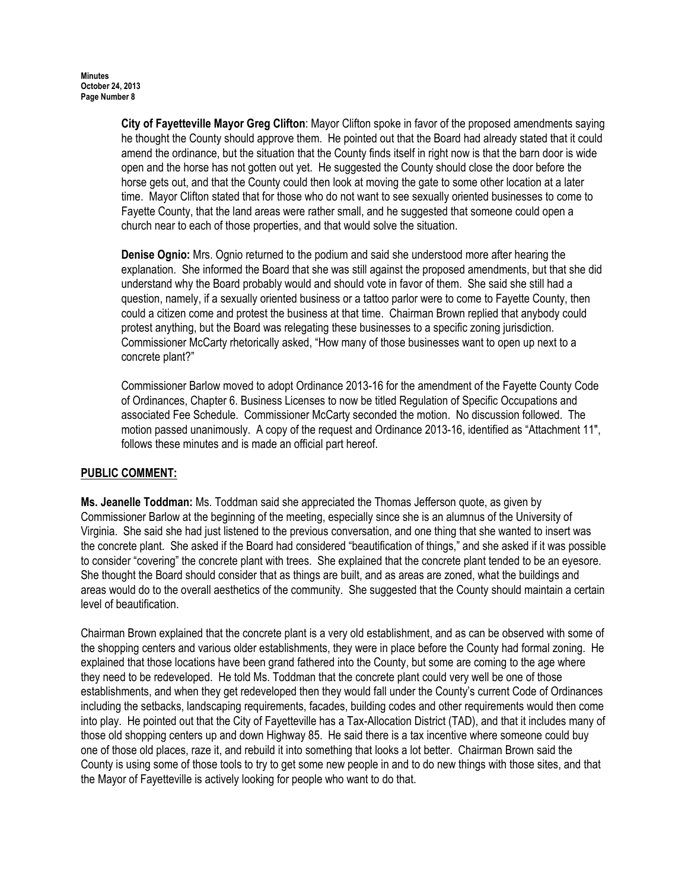City of Fayetteville Mayor Greg Clifton: Mayor Clifton spoke in favor of the proposed amendments saying he thought the County should approve them. He pointed out that the Board had already stated that it could amend the ordinance, but the situation that the County finds itself in right now is that the barn door is wide open and the horse has not gotten out yet. He suggested the County should close the door before the horse gets out, and that the County could then look at moving the gate to some other location at a later time. Mayor Clifton stated that for those who do not want to see sexually oriented businesses to come to Fayette County, that the land areas were rather small, and he suggested that someone could open a church near to each of those properties, and that would solve the situation.

Denise Ognio: Mrs. Ognio returned to the podium and said she understood more after hearing the explanation. She informed the Board that she was still against the proposed amendments, but that she did understand why the Board probably would and should vote in favor of them. She said she still had a question, namely, if a sexually oriented business or a tattoo parlor were to come to Fayette County, then could a citizen come and protest the business at that time. Chairman Brown replied that anybody could protest anything, but the Board was relegating these businesses to a specific zoning jurisdiction. Commissioner McCarty rhetorically asked, "How many of those businesses want to open up next to a concrete plant?"

Commissioner Barlow moved to adopt Ordinance 2013-16 for the amendment of the Fayette County Code of Ordinances, Chapter 6. Business Licenses to now be titled Regulation of Specific Occupations and associated Fee Schedule. Commissioner McCarty seconded the motion. No discussion followed. The motion passed unanimously. A copy of the request and Ordinance 2013-16, identified as "Attachment 11", follows these minutes and is made an official part hereof.

# PUBLIC COMMENT:

Ms. Jeanelle Toddman: Ms. Toddman said she appreciated the Thomas Jefferson quote, as given by Commissioner Barlow at the beginning of the meeting, especially since she is an alumnus of the University of Virginia. She said she had just listened to the previous conversation, and one thing that she wanted to insert was the concrete plant. She asked if the Board had considered "beautification of things," and she asked if it was possible to consider "covering" the concrete plant with trees. She explained that the concrete plant tended to be an eyesore. She thought the Board should consider that as things are built, and as areas are zoned, what the buildings and areas would do to the overall aesthetics of the community. She suggested that the County should maintain a certain level of beautification.

Chairman Brown explained that the concrete plant is a very old establishment, and as can be observed with some of the shopping centers and various older establishments, they were in place before the County had formal zoning. He explained that those locations have been grand fathered into the County, but some are coming to the age where they need to be redeveloped. He told Ms. Toddman that the concrete plant could very well be one of those establishments, and when they get redeveloped then they would fall under the County's current Code of Ordinances including the setbacks, landscaping requirements, facades, building codes and other requirements would then come into play. He pointed out that the City of Fayetteville has a Tax-Allocation District (TAD), and that it includes many of those old shopping centers up and down Highway 85. He said there is a tax incentive where someone could buy one of those old places, raze it, and rebuild it into something that looks a lot better. Chairman Brown said the County is using some of those tools to try to get some new people in and to do new things with those sites, and that the Mayor of Fayetteville is actively looking for people who want to do that.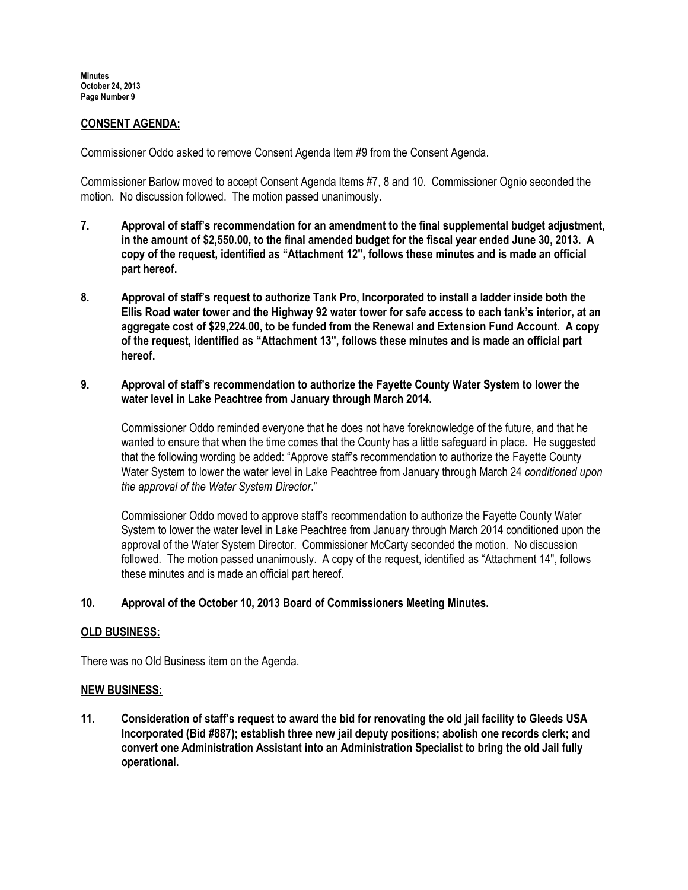## CONSENT AGENDA:

Commissioner Oddo asked to remove Consent Agenda Item #9 from the Consent Agenda.

Commissioner Barlow moved to accept Consent Agenda Items #7, 8 and 10. Commissioner Ognio seconded the motion. No discussion followed. The motion passed unanimously.

- 7. Approval of staff's recommendation for an amendment to the final supplemental budget adjustment, in the amount of \$2,550.00, to the final amended budget for the fiscal year ended June 30, 2013. A copy of the request, identified as "Attachment 12", follows these minutes and is made an official part hereof.
- 8. Approval of staff's request to authorize Tank Pro, Incorporated to install a ladder inside both the Ellis Road water tower and the Highway 92 water tower for safe access to each tank's interior, at an aggregate cost of \$29,224.00, to be funded from the Renewal and Extension Fund Account. A copy of the request, identified as "Attachment 13", follows these minutes and is made an official part hereof.
- 9. Approval of staff's recommendation to authorize the Fayette County Water System to lower the water level in Lake Peachtree from January through March 2014.

Commissioner Oddo reminded everyone that he does not have foreknowledge of the future, and that he wanted to ensure that when the time comes that the County has a little safeguard in place. He suggested that the following wording be added: "Approve staff's recommendation to authorize the Fayette County Water System to lower the water level in Lake Peachtree from January through March 24 conditioned upon the approval of the Water System Director."

Commissioner Oddo moved to approve staff's recommendation to authorize the Fayette County Water System to lower the water level in Lake Peachtree from January through March 2014 conditioned upon the approval of the Water System Director. Commissioner McCarty seconded the motion. No discussion followed. The motion passed unanimously. A copy of the request, identified as "Attachment 14", follows these minutes and is made an official part hereof.

## 10. Approval of the October 10, 2013 Board of Commissioners Meeting Minutes.

#### OLD BUSINESS:

There was no Old Business item on the Agenda.

#### NEW BUSINESS:

11. Consideration of staff's request to award the bid for renovating the old jail facility to Gleeds USA Incorporated (Bid #887); establish three new jail deputy positions; abolish one records clerk; and convert one Administration Assistant into an Administration Specialist to bring the old Jail fully operational.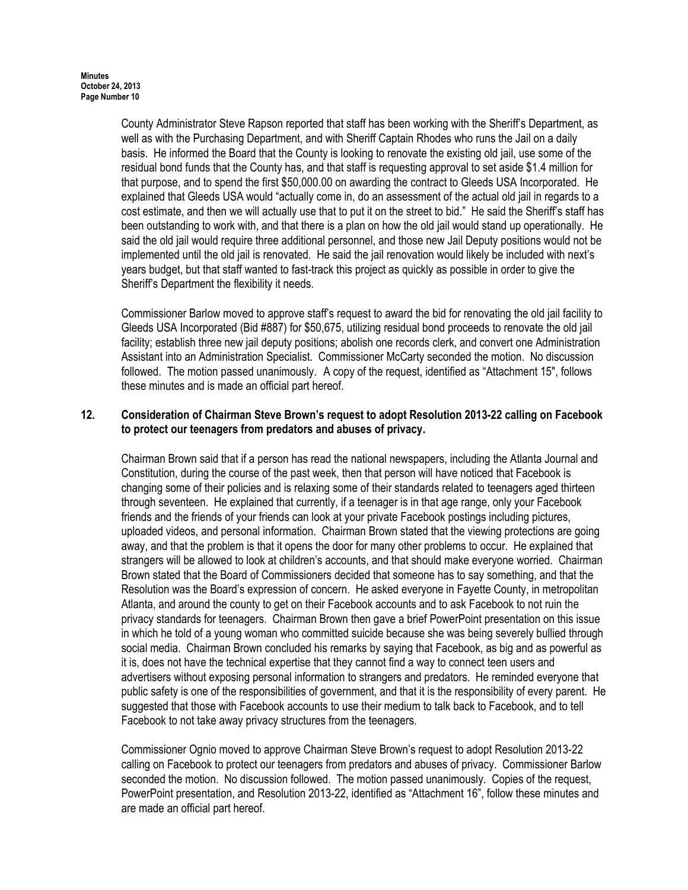County Administrator Steve Rapson reported that staff has been working with the Sheriff's Department, as well as with the Purchasing Department, and with Sheriff Captain Rhodes who runs the Jail on a daily basis. He informed the Board that the County is looking to renovate the existing old jail, use some of the residual bond funds that the County has, and that staff is requesting approval to set aside \$1.4 million for that purpose, and to spend the first \$50,000.00 on awarding the contract to Gleeds USA Incorporated. He explained that Gleeds USA would "actually come in, do an assessment of the actual old jail in regards to a cost estimate, and then we will actually use that to put it on the street to bid." He said the Sheriff's staff has been outstanding to work with, and that there is a plan on how the old jail would stand up operationally. He said the old jail would require three additional personnel, and those new Jail Deputy positions would not be implemented until the old jail is renovated. He said the jail renovation would likely be included with next's years budget, but that staff wanted to fast-track this project as quickly as possible in order to give the Sheriff's Department the flexibility it needs.

Commissioner Barlow moved to approve staff's request to award the bid for renovating the old jail facility to Gleeds USA Incorporated (Bid #887) for \$50,675, utilizing residual bond proceeds to renovate the old jail facility; establish three new jail deputy positions; abolish one records clerk, and convert one Administration Assistant into an Administration Specialist. Commissioner McCarty seconded the motion. No discussion followed. The motion passed unanimously. A copy of the request, identified as "Attachment 15", follows these minutes and is made an official part hereof.

# 12. Consideration of Chairman Steve Brown's request to adopt Resolution 2013-22 calling on Facebook to protect our teenagers from predators and abuses of privacy.

Chairman Brown said that if a person has read the national newspapers, including the Atlanta Journal and Constitution, during the course of the past week, then that person will have noticed that Facebook is changing some of their policies and is relaxing some of their standards related to teenagers aged thirteen through seventeen. He explained that currently, if a teenager is in that age range, only your Facebook friends and the friends of your friends can look at your private Facebook postings including pictures, uploaded videos, and personal information. Chairman Brown stated that the viewing protections are going away, and that the problem is that it opens the door for many other problems to occur. He explained that strangers will be allowed to look at children's accounts, and that should make everyone worried. Chairman Brown stated that the Board of Commissioners decided that someone has to say something, and that the Resolution was the Board's expression of concern. He asked everyone in Fayette County, in metropolitan Atlanta, and around the county to get on their Facebook accounts and to ask Facebook to not ruin the privacy standards for teenagers. Chairman Brown then gave a brief PowerPoint presentation on this issue in which he told of a young woman who committed suicide because she was being severely bullied through social media. Chairman Brown concluded his remarks by saying that Facebook, as big and as powerful as it is, does not have the technical expertise that they cannot find a way to connect teen users and advertisers without exposing personal information to strangers and predators. He reminded everyone that public safety is one of the responsibilities of government, and that it is the responsibility of every parent. He suggested that those with Facebook accounts to use their medium to talk back to Facebook, and to tell Facebook to not take away privacy structures from the teenagers.

Commissioner Ognio moved to approve Chairman Steve Brown's request to adopt Resolution 2013-22 calling on Facebook to protect our teenagers from predators and abuses of privacy. Commissioner Barlow seconded the motion. No discussion followed. The motion passed unanimously. Copies of the request, PowerPoint presentation, and Resolution 2013-22, identified as "Attachment 16", follow these minutes and are made an official part hereof.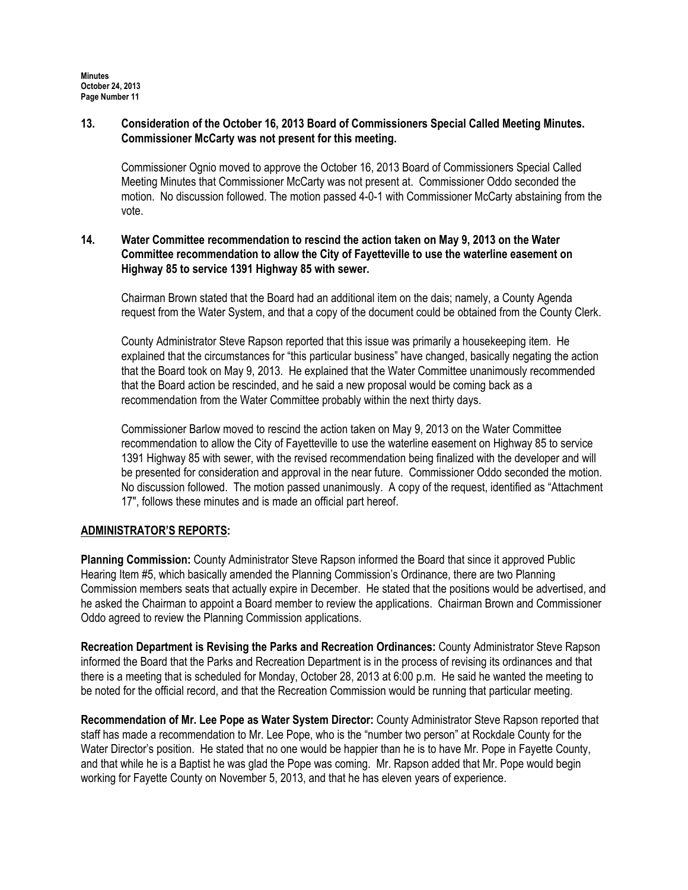## 13. Consideration of the October 16, 2013 Board of Commissioners Special Called Meeting Minutes. Commissioner McCarty was not present for this meeting.

Commissioner Ognio moved to approve the October 16, 2013 Board of Commissioners Special Called Meeting Minutes that Commissioner McCarty was not present at. Commissioner Oddo seconded the motion. No discussion followed. The motion passed 4-0-1 with Commissioner McCarty abstaining from the vote.

# 14. Water Committee recommendation to rescind the action taken on May 9, 2013 on the Water Committee recommendation to allow the City of Fayetteville to use the waterline easement on Highway 85 to service 1391 Highway 85 with sewer.

Chairman Brown stated that the Board had an additional item on the dais; namely, a County Agenda request from the Water System, and that a copy of the document could be obtained from the County Clerk.

County Administrator Steve Rapson reported that this issue was primarily a housekeeping item. He explained that the circumstances for "this particular business" have changed, basically negating the action that the Board took on May 9, 2013. He explained that the Water Committee unanimously recommended that the Board action be rescinded, and he said a new proposal would be coming back as a recommendation from the Water Committee probably within the next thirty days.

Commissioner Barlow moved to rescind the action taken on May 9, 2013 on the Water Committee recommendation to allow the City of Fayetteville to use the waterline easement on Highway 85 to service 1391 Highway 85 with sewer, with the revised recommendation being finalized with the developer and will be presented for consideration and approval in the near future. Commissioner Oddo seconded the motion. No discussion followed. The motion passed unanimously. A copy of the request, identified as "Attachment 17", follows these minutes and is made an official part hereof.

# ADMINISTRATOR'S REPORTS:

Planning Commission: County Administrator Steve Rapson informed the Board that since it approved Public Hearing Item #5, which basically amended the Planning Commission's Ordinance, there are two Planning Commission members seats that actually expire in December. He stated that the positions would be advertised, and he asked the Chairman to appoint a Board member to review the applications. Chairman Brown and Commissioner Oddo agreed to review the Planning Commission applications.

Recreation Department is Revising the Parks and Recreation Ordinances: County Administrator Steve Rapson informed the Board that the Parks and Recreation Department is in the process of revising its ordinances and that there is a meeting that is scheduled for Monday, October 28, 2013 at 6:00 p.m. He said he wanted the meeting to be noted for the official record, and that the Recreation Commission would be running that particular meeting.

Recommendation of Mr. Lee Pope as Water System Director: County Administrator Steve Rapson reported that staff has made a recommendation to Mr. Lee Pope, who is the "number two person" at Rockdale County for the Water Director's position. He stated that no one would be happier than he is to have Mr. Pope in Favette County, and that while he is a Baptist he was glad the Pope was coming. Mr. Rapson added that Mr. Pope would begin working for Fayette County on November 5, 2013, and that he has eleven years of experience.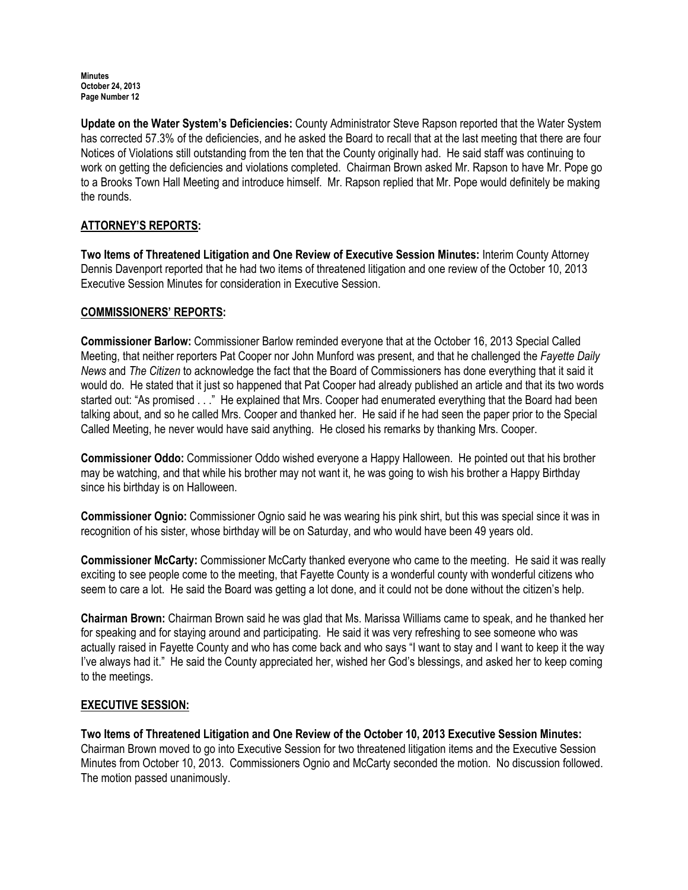Update on the Water System's Deficiencies: County Administrator Steve Rapson reported that the Water System has corrected 57.3% of the deficiencies, and he asked the Board to recall that at the last meeting that there are four Notices of Violations still outstanding from the ten that the County originally had. He said staff was continuing to work on getting the deficiencies and violations completed. Chairman Brown asked Mr. Rapson to have Mr. Pope go to a Brooks Town Hall Meeting and introduce himself. Mr. Rapson replied that Mr. Pope would definitely be making the rounds.

# ATTORNEY'S REPORTS:

Two Items of Threatened Litigation and One Review of Executive Session Minutes: Interim County Attorney Dennis Davenport reported that he had two items of threatened litigation and one review of the October 10, 2013 Executive Session Minutes for consideration in Executive Session.

## COMMISSIONERS' REPORTS:

Commissioner Barlow: Commissioner Barlow reminded everyone that at the October 16, 2013 Special Called Meeting, that neither reporters Pat Cooper nor John Munford was present, and that he challenged the Fayette Daily News and The Citizen to acknowledge the fact that the Board of Commissioners has done everything that it said it would do. He stated that it just so happened that Pat Cooper had already published an article and that its two words started out: "As promised . . ." He explained that Mrs. Cooper had enumerated everything that the Board had been talking about, and so he called Mrs. Cooper and thanked her. He said if he had seen the paper prior to the Special Called Meeting, he never would have said anything. He closed his remarks by thanking Mrs. Cooper.

Commissioner Oddo: Commissioner Oddo wished everyone a Happy Halloween. He pointed out that his brother may be watching, and that while his brother may not want it, he was going to wish his brother a Happy Birthday since his birthday is on Halloween.

Commissioner Ognio: Commissioner Ognio said he was wearing his pink shirt, but this was special since it was in recognition of his sister, whose birthday will be on Saturday, and who would have been 49 years old.

Commissioner McCarty: Commissioner McCarty thanked everyone who came to the meeting. He said it was really exciting to see people come to the meeting, that Fayette County is a wonderful county with wonderful citizens who seem to care a lot. He said the Board was getting a lot done, and it could not be done without the citizen's help.

Chairman Brown: Chairman Brown said he was glad that Ms. Marissa Williams came to speak, and he thanked her for speaking and for staying around and participating. He said it was very refreshing to see someone who was actually raised in Fayette County and who has come back and who says "I want to stay and I want to keep it the way I've always had it." He said the County appreciated her, wished her God's blessings, and asked her to keep coming to the meetings.

## EXECUTIVE SESSION:

Two Items of Threatened Litigation and One Review of the October 10, 2013 Executive Session Minutes: Chairman Brown moved to go into Executive Session for two threatened litigation items and the Executive Session Minutes from October 10, 2013. Commissioners Ognio and McCarty seconded the motion. No discussion followed. The motion passed unanimously.